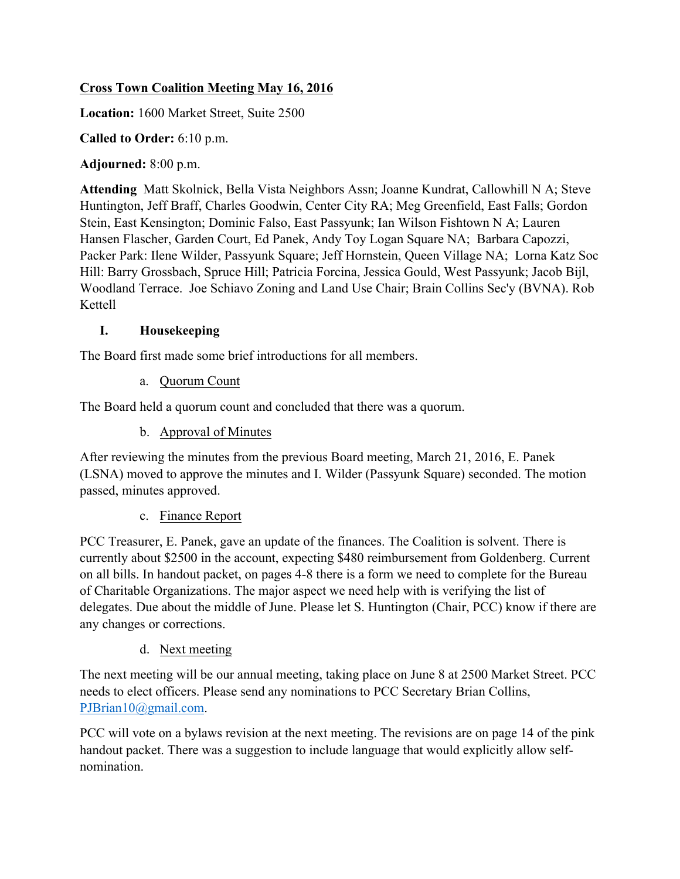## **Cross Town Coalition Meeting May 16, 2016**

**Location:** 1600 Market Street, Suite 2500

**Called to Order:** 6:10 p.m.

**Adjourned:** 8:00 p.m.

**Attending** Matt Skolnick, Bella Vista Neighbors Assn; Joanne Kundrat, Callowhill N A; Steve Huntington, Jeff Braff, Charles Goodwin, Center City RA; Meg Greenfield, East Falls; Gordon Stein, East Kensington; Dominic Falso, East Passyunk; Ian Wilson Fishtown N A; Lauren Hansen Flascher, Garden Court, Ed Panek, Andy Toy Logan Square NA; Barbara Capozzi, Packer Park: Ilene Wilder, Passyunk Square; Jeff Hornstein, Queen Village NA; Lorna Katz Soc Hill: Barry Grossbach, Spruce Hill; Patricia Forcina, Jessica Gould, West Passyunk; Jacob Bijl, Woodland Terrace. Joe Schiavo Zoning and Land Use Chair; Brain Collins Sec'y (BVNA). Rob Kettell

## **I. Housekeeping**

The Board first made some brief introductions for all members.

a. Quorum Count

The Board held a quorum count and concluded that there was a quorum.

b. Approval of Minutes

After reviewing the minutes from the previous Board meeting, March 21, 2016, E. Panek (LSNA) moved to approve the minutes and I. Wilder (Passyunk Square) seconded. The motion passed, minutes approved.

## c. Finance Report

PCC Treasurer, E. Panek, gave an update of the finances. The Coalition is solvent. There is currently about \$2500 in the account, expecting \$480 reimbursement from Goldenberg. Current on all bills. In handout packet, on pages 4-8 there is a form we need to complete for the Bureau of Charitable Organizations. The major aspect we need help with is verifying the list of delegates. Due about the middle of June. Please let S. Huntington (Chair, PCC) know if there are any changes or corrections.

## d. Next meeting

The next meeting will be our annual meeting, taking place on June 8 at 2500 Market Street. PCC needs to elect officers. Please send any nominations to PCC Secretary Brian Collins, PJBrian10@gmail.com.

PCC will vote on a bylaws revision at the next meeting. The revisions are on page 14 of the pink handout packet. There was a suggestion to include language that would explicitly allow selfnomination.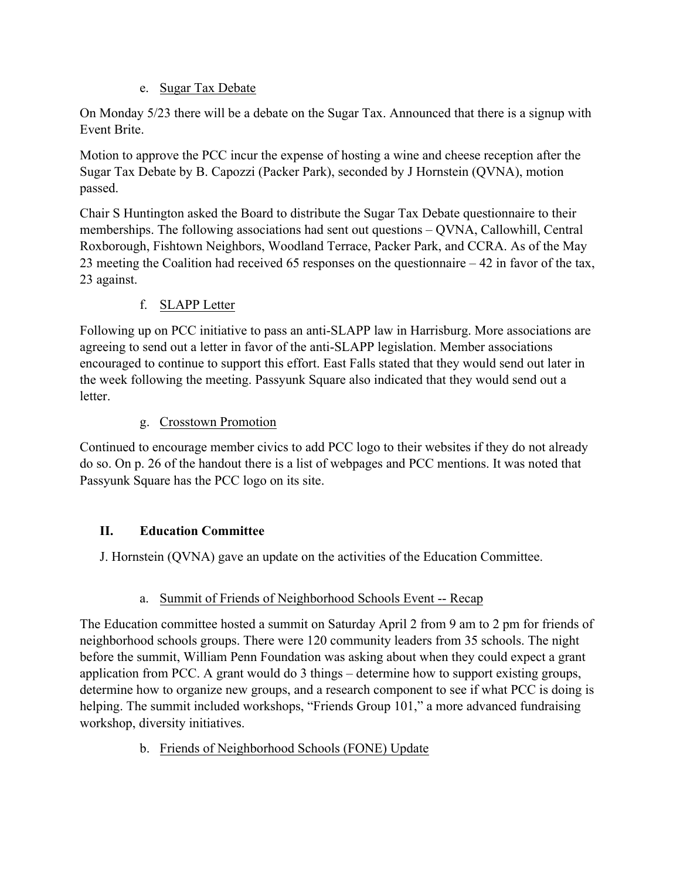## e. Sugar Tax Debate

On Monday 5/23 there will be a debate on the Sugar Tax. Announced that there is a signup with Event Brite.

Motion to approve the PCC incur the expense of hosting a wine and cheese reception after the Sugar Tax Debate by B. Capozzi (Packer Park), seconded by J Hornstein (QVNA), motion passed.

Chair S Huntington asked the Board to distribute the Sugar Tax Debate questionnaire to their memberships. The following associations had sent out questions – QVNA, Callowhill, Central Roxborough, Fishtown Neighbors, Woodland Terrace, Packer Park, and CCRA. As of the May 23 meeting the Coalition had received 65 responses on the questionnaire – 42 in favor of the tax, 23 against.

# f. SLAPP Letter

Following up on PCC initiative to pass an anti-SLAPP law in Harrisburg. More associations are agreeing to send out a letter in favor of the anti-SLAPP legislation. Member associations encouraged to continue to support this effort. East Falls stated that they would send out later in the week following the meeting. Passyunk Square also indicated that they would send out a **letter** 

## g. Crosstown Promotion

Continued to encourage member civics to add PCC logo to their websites if they do not already do so. On p. 26 of the handout there is a list of webpages and PCC mentions. It was noted that Passyunk Square has the PCC logo on its site.

# **II. Education Committee**

J. Hornstein (QVNA) gave an update on the activities of the Education Committee.

# a. Summit of Friends of Neighborhood Schools Event -- Recap

The Education committee hosted a summit on Saturday April 2 from 9 am to 2 pm for friends of neighborhood schools groups. There were 120 community leaders from 35 schools. The night before the summit, William Penn Foundation was asking about when they could expect a grant application from PCC. A grant would do 3 things – determine how to support existing groups, determine how to organize new groups, and a research component to see if what PCC is doing is helping. The summit included workshops, "Friends Group 101," a more advanced fundraising workshop, diversity initiatives.

# b. Friends of Neighborhood Schools (FONE) Update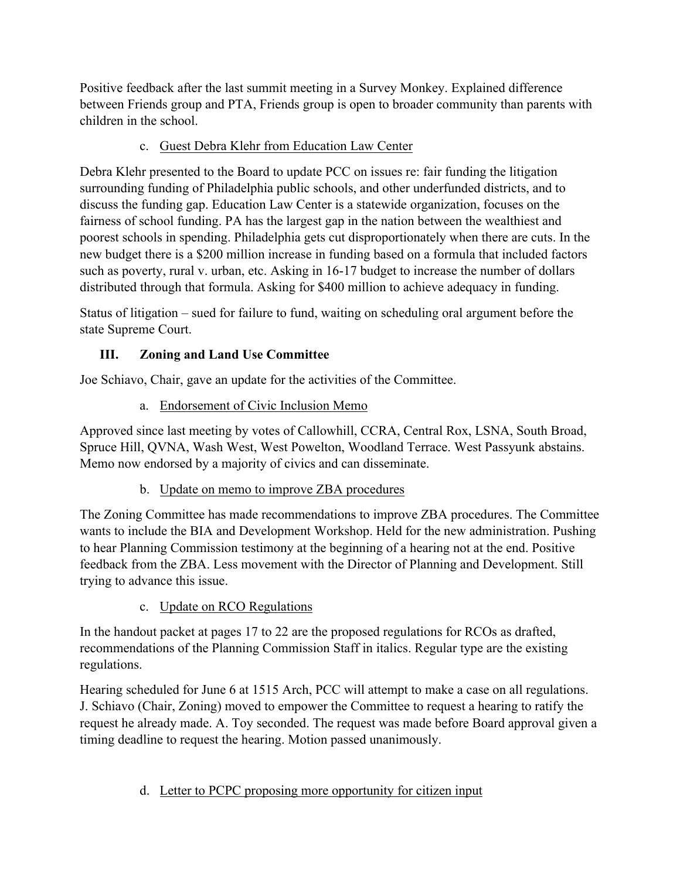Positive feedback after the last summit meeting in a Survey Monkey. Explained difference between Friends group and PTA, Friends group is open to broader community than parents with children in the school.

## c. Guest Debra Klehr from Education Law Center

Debra Klehr presented to the Board to update PCC on issues re: fair funding the litigation surrounding funding of Philadelphia public schools, and other underfunded districts, and to discuss the funding gap. Education Law Center is a statewide organization, focuses on the fairness of school funding. PA has the largest gap in the nation between the wealthiest and poorest schools in spending. Philadelphia gets cut disproportionately when there are cuts. In the new budget there is a \$200 million increase in funding based on a formula that included factors such as poverty, rural v. urban, etc. Asking in 16-17 budget to increase the number of dollars distributed through that formula. Asking for \$400 million to achieve adequacy in funding.

Status of litigation – sued for failure to fund, waiting on scheduling oral argument before the state Supreme Court.

# **III. Zoning and Land Use Committee**

Joe Schiavo, Chair, gave an update for the activities of the Committee.

a. Endorsement of Civic Inclusion Memo

Approved since last meeting by votes of Callowhill, CCRA, Central Rox, LSNA, South Broad, Spruce Hill, QVNA, Wash West, West Powelton, Woodland Terrace. West Passyunk abstains. Memo now endorsed by a majority of civics and can disseminate.

b. Update on memo to improve ZBA procedures

The Zoning Committee has made recommendations to improve ZBA procedures. The Committee wants to include the BIA and Development Workshop. Held for the new administration. Pushing to hear Planning Commission testimony at the beginning of a hearing not at the end. Positive feedback from the ZBA. Less movement with the Director of Planning and Development. Still trying to advance this issue.

c. Update on RCO Regulations

In the handout packet at pages 17 to 22 are the proposed regulations for RCOs as drafted, recommendations of the Planning Commission Staff in italics. Regular type are the existing regulations.

Hearing scheduled for June 6 at 1515 Arch, PCC will attempt to make a case on all regulations. J. Schiavo (Chair, Zoning) moved to empower the Committee to request a hearing to ratify the request he already made. A. Toy seconded. The request was made before Board approval given a timing deadline to request the hearing. Motion passed unanimously.

# d. Letter to PCPC proposing more opportunity for citizen input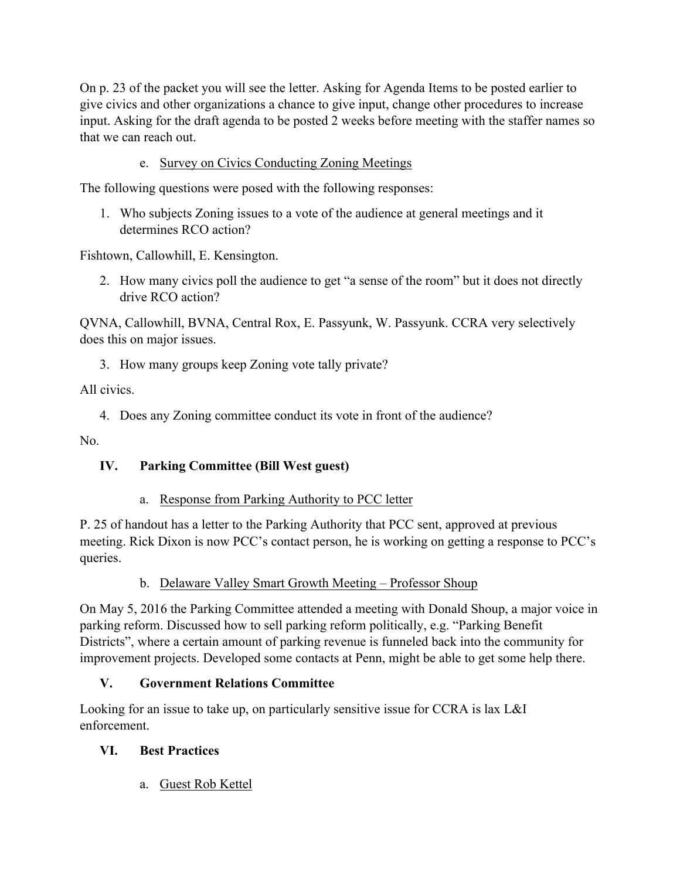On p. 23 of the packet you will see the letter. Asking for Agenda Items to be posted earlier to give civics and other organizations a chance to give input, change other procedures to increase input. Asking for the draft agenda to be posted 2 weeks before meeting with the staffer names so that we can reach out.

e. Survey on Civics Conducting Zoning Meetings

The following questions were posed with the following responses:

1. Who subjects Zoning issues to a vote of the audience at general meetings and it determines RCO action?

Fishtown, Callowhill, E. Kensington.

2. How many civics poll the audience to get "a sense of the room" but it does not directly drive RCO action?

QVNA, Callowhill, BVNA, Central Rox, E. Passyunk, W. Passyunk. CCRA very selectively does this on major issues.

3. How many groups keep Zoning vote tally private?

All civics.

4. Does any Zoning committee conduct its vote in front of the audience?

No.

## **IV. Parking Committee (Bill West guest)**

#### a. Response from Parking Authority to PCC letter

P. 25 of handout has a letter to the Parking Authority that PCC sent, approved at previous meeting. Rick Dixon is now PCC's contact person, he is working on getting a response to PCC's queries.

## b. Delaware Valley Smart Growth Meeting – Professor Shoup

On May 5, 2016 the Parking Committee attended a meeting with Donald Shoup, a major voice in parking reform. Discussed how to sell parking reform politically, e.g. "Parking Benefit Districts", where a certain amount of parking revenue is funneled back into the community for improvement projects. Developed some contacts at Penn, might be able to get some help there.

## **V. Government Relations Committee**

Looking for an issue to take up, on particularly sensitive issue for CCRA is lax L&I enforcement.

## **VI. Best Practices**

a. Guest Rob Kettel